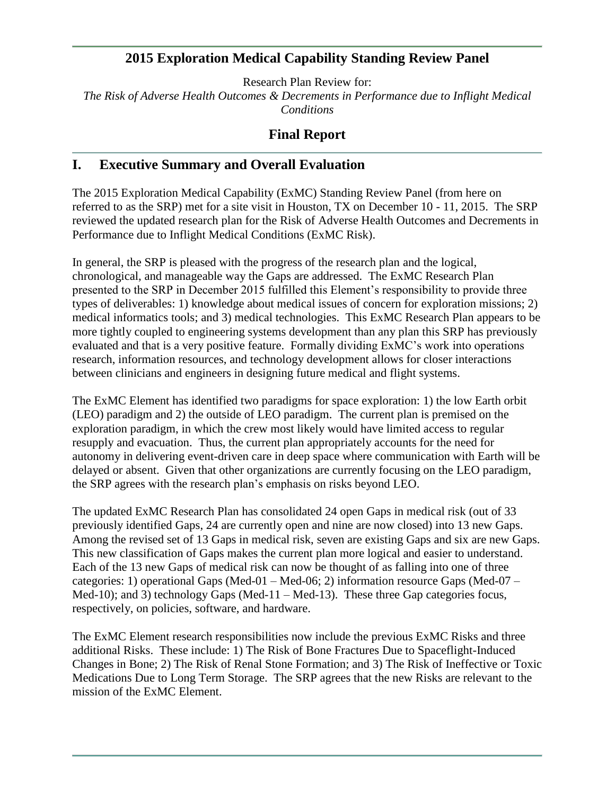## **2015 Exploration Medical Capability Standing Review Panel**

Research Plan Review for: *The Risk of Adverse Health Outcomes & Decrements in Performance due to Inflight Medical Conditions*

## **Final Report**

## **I. Executive Summary and Overall Evaluation**

The 2015 Exploration Medical Capability (ExMC) Standing Review Panel (from here on referred to as the SRP) met for a site visit in Houston, TX on December 10 - 11, 2015. The SRP reviewed the updated research plan for the Risk of Adverse Health Outcomes and Decrements in Performance due to Inflight Medical Conditions (ExMC Risk).

In general, the SRP is pleased with the progress of the research plan and the logical, chronological, and manageable way the Gaps are addressed. The ExMC Research Plan presented to the SRP in December 2015 fulfilled this Element's responsibility to provide three types of deliverables: 1) knowledge about medical issues of concern for exploration missions; 2) medical informatics tools; and 3) medical technologies. This ExMC Research Plan appears to be more tightly coupled to engineering systems development than any plan this SRP has previously evaluated and that is a very positive feature. Formally dividing ExMC's work into operations research, information resources, and technology development allows for closer interactions between clinicians and engineers in designing future medical and flight systems.

The ExMC Element has identified two paradigms for space exploration: 1) the low Earth orbit (LEO) paradigm and 2) the outside of LEO paradigm. The current plan is premised on the exploration paradigm, in which the crew most likely would have limited access to regular resupply and evacuation. Thus, the current plan appropriately accounts for the need for autonomy in delivering event-driven care in deep space where communication with Earth will be delayed or absent. Given that other organizations are currently focusing on the LEO paradigm, the SRP agrees with the research plan's emphasis on risks beyond LEO.

The updated ExMC Research Plan has consolidated 24 open Gaps in medical risk (out of 33 previously identified Gaps, 24 are currently open and nine are now closed) into 13 new Gaps. Among the revised set of 13 Gaps in medical risk, seven are existing Gaps and six are new Gaps. This new classification of Gaps makes the current plan more logical and easier to understand. Each of the 13 new Gaps of medical risk can now be thought of as falling into one of three categories: 1) operational Gaps (Med-01 – Med-06; 2) information resource Gaps (Med-07 – Med-10); and 3) technology Gaps (Med-11 – Med-13). These three Gap categories focus, respectively, on policies, software, and hardware.

The ExMC Element research responsibilities now include the previous ExMC Risks and three additional Risks. These include: 1) The Risk of Bone Fractures Due to Spaceflight-Induced Changes in Bone; 2) The Risk of Renal Stone Formation; and 3) The Risk of Ineffective or Toxic Medications Due to Long Term Storage. The SRP agrees that the new Risks are relevant to the mission of the ExMC Element.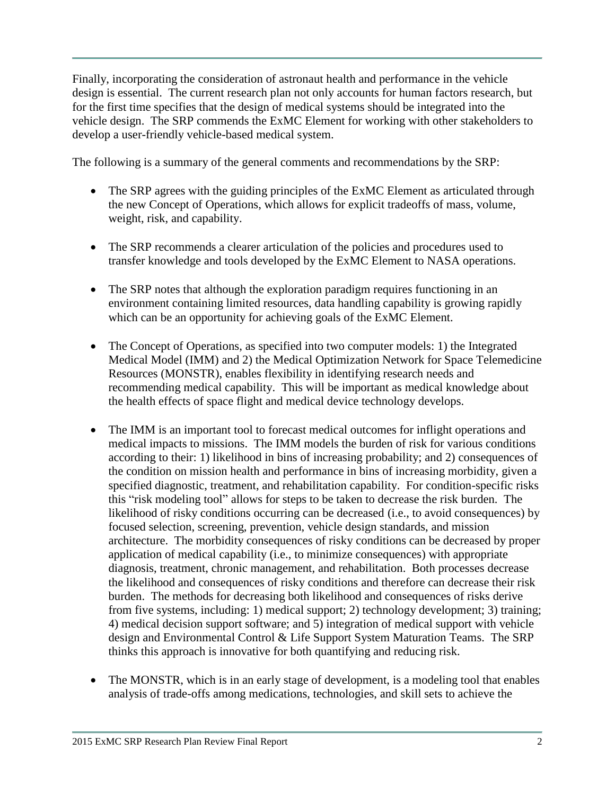Finally, incorporating the consideration of astronaut health and performance in the vehicle design is essential. The current research plan not only accounts for human factors research, but for the first time specifies that the design of medical systems should be integrated into the vehicle design. The SRP commends the ExMC Element for working with other stakeholders to develop a user-friendly vehicle-based medical system.

The following is a summary of the general comments and recommendations by the SRP:

- The SRP agrees with the guiding principles of the ExMC Element as articulated through the new Concept of Operations, which allows for explicit tradeoffs of mass, volume, weight, risk, and capability.
- The SRP recommends a clearer articulation of the policies and procedures used to transfer knowledge and tools developed by the ExMC Element to NASA operations.
- The SRP notes that although the exploration paradigm requires functioning in an environment containing limited resources, data handling capability is growing rapidly which can be an opportunity for achieving goals of the ExMC Element.
- The Concept of Operations, as specified into two computer models: 1) the Integrated Medical Model (IMM) and 2) the Medical Optimization Network for Space Telemedicine Resources (MONSTR), enables flexibility in identifying research needs and recommending medical capability. This will be important as medical knowledge about the health effects of space flight and medical device technology develops.
- The IMM is an important tool to forecast medical outcomes for inflight operations and medical impacts to missions. The IMM models the burden of risk for various conditions according to their: 1) likelihood in bins of increasing probability; and 2) consequences of the condition on mission health and performance in bins of increasing morbidity, given a specified diagnostic, treatment, and rehabilitation capability. For condition-specific risks this "risk modeling tool" allows for steps to be taken to decrease the risk burden. The likelihood of risky conditions occurring can be decreased (i.e., to avoid consequences) by focused selection, screening, prevention, vehicle design standards, and mission architecture. The morbidity consequences of risky conditions can be decreased by proper application of medical capability (i.e., to minimize consequences) with appropriate diagnosis, treatment, chronic management, and rehabilitation. Both processes decrease the likelihood and consequences of risky conditions and therefore can decrease their risk burden. The methods for decreasing both likelihood and consequences of risks derive from five systems, including: 1) medical support; 2) technology development; 3) training; 4) medical decision support software; and 5) integration of medical support with vehicle design and Environmental Control & Life Support System Maturation Teams. The SRP thinks this approach is innovative for both quantifying and reducing risk.
- The MONSTR, which is in an early stage of development, is a modeling tool that enables analysis of trade-offs among medications, technologies, and skill sets to achieve the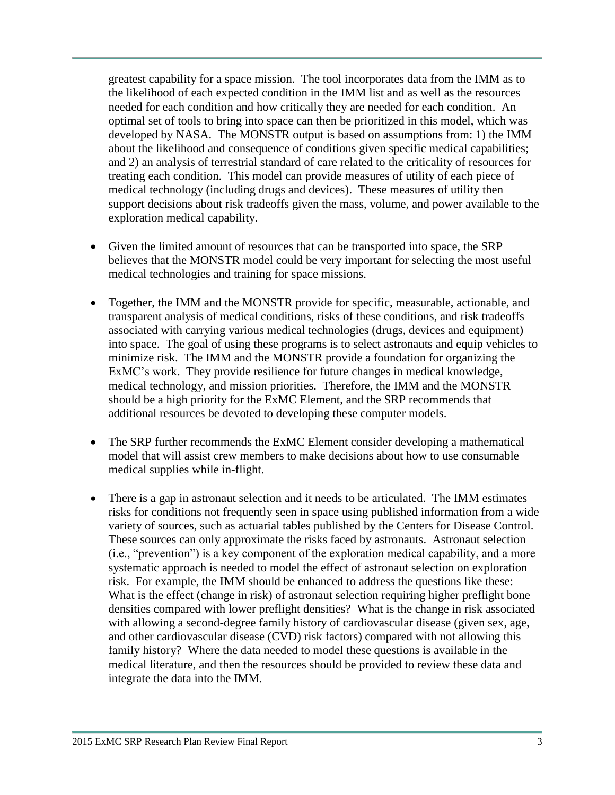greatest capability for a space mission. The tool incorporates data from the IMM as to the likelihood of each expected condition in the IMM list and as well as the resources needed for each condition and how critically they are needed for each condition. An optimal set of tools to bring into space can then be prioritized in this model, which was developed by NASA. The MONSTR output is based on assumptions from: 1) the IMM about the likelihood and consequence of conditions given specific medical capabilities; and 2) an analysis of terrestrial standard of care related to the criticality of resources for treating each condition. This model can provide measures of utility of each piece of medical technology (including drugs and devices). These measures of utility then support decisions about risk tradeoffs given the mass, volume, and power available to the exploration medical capability.

- Given the limited amount of resources that can be transported into space, the SRP believes that the MONSTR model could be very important for selecting the most useful medical technologies and training for space missions.
- Together, the IMM and the MONSTR provide for specific, measurable, actionable, and transparent analysis of medical conditions, risks of these conditions, and risk tradeoffs associated with carrying various medical technologies (drugs, devices and equipment) into space. The goal of using these programs is to select astronauts and equip vehicles to minimize risk. The IMM and the MONSTR provide a foundation for organizing the ExMC's work. They provide resilience for future changes in medical knowledge, medical technology, and mission priorities. Therefore, the IMM and the MONSTR should be a high priority for the ExMC Element, and the SRP recommends that additional resources be devoted to developing these computer models.
- The SRP further recommends the ExMC Element consider developing a mathematical model that will assist crew members to make decisions about how to use consumable medical supplies while in-flight.
- There is a gap in astronaut selection and it needs to be articulated. The IMM estimates risks for conditions not frequently seen in space using published information from a wide variety of sources, such as actuarial tables published by the Centers for Disease Control. These sources can only approximate the risks faced by astronauts. Astronaut selection (i.e., "prevention") is a key component of the exploration medical capability, and a more systematic approach is needed to model the effect of astronaut selection on exploration risk. For example, the IMM should be enhanced to address the questions like these: What is the effect (change in risk) of astronaut selection requiring higher preflight bone densities compared with lower preflight densities? What is the change in risk associated with allowing a second-degree family history of cardiovascular disease (given sex, age, and other cardiovascular disease (CVD) risk factors) compared with not allowing this family history? Where the data needed to model these questions is available in the medical literature, and then the resources should be provided to review these data and integrate the data into the IMM.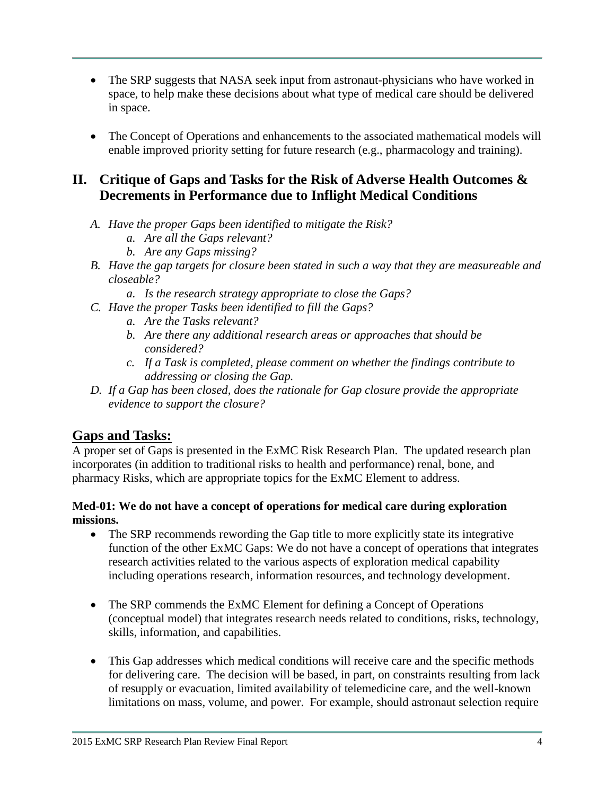- The SRP suggests that NASA seek input from astronaut-physicians who have worked in space, to help make these decisions about what type of medical care should be delivered in space.
- The Concept of Operations and enhancements to the associated mathematical models will enable improved priority setting for future research (e.g., pharmacology and training).

# **II. Critique of Gaps and Tasks for the Risk of Adverse Health Outcomes & Decrements in Performance due to Inflight Medical Conditions**

- *A. Have the proper Gaps been identified to mitigate the Risk?*
	- *a. Are all the Gaps relevant?*
	- *b. Are any Gaps missing?*
- *B. Have the gap targets for closure been stated in such a way that they are measureable and closeable?*
	- *a. Is the research strategy appropriate to close the Gaps?*
- *C. Have the proper Tasks been identified to fill the Gaps?*
	- *a. Are the Tasks relevant?*
	- *b. Are there any additional research areas or approaches that should be considered?*
	- *c. If a Task is completed, please comment on whether the findings contribute to addressing or closing the Gap.*
- *D. If a Gap has been closed, does the rationale for Gap closure provide the appropriate evidence to support the closure?*

## **Gaps and Tasks:**

A proper set of Gaps is presented in the ExMC Risk Research Plan. The updated research plan incorporates (in addition to traditional risks to health and performance) renal, bone, and pharmacy Risks, which are appropriate topics for the ExMC Element to address.

### **Med-01: We do not have a concept of operations for medical care during exploration missions.**

- The SRP recommends rewording the Gap title to more explicitly state its integrative function of the other ExMC Gaps: We do not have a concept of operations that integrates research activities related to the various aspects of exploration medical capability including operations research, information resources, and technology development.
- The SRP commends the ExMC Element for defining a Concept of Operations (conceptual model) that integrates research needs related to conditions, risks, technology, skills, information, and capabilities.
- This Gap addresses which medical conditions will receive care and the specific methods for delivering care. The decision will be based, in part, on constraints resulting from lack of resupply or evacuation, limited availability of telemedicine care, and the well-known limitations on mass, volume, and power. For example, should astronaut selection require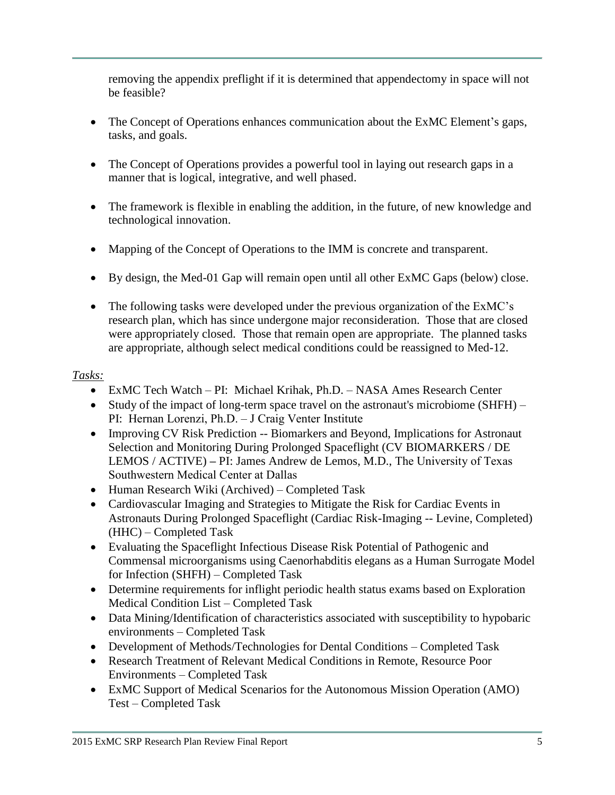removing the appendix preflight if it is determined that appendectomy in space will not be feasible?

- The Concept of Operations enhances communication about the ExMC Element's gaps, tasks, and goals.
- The Concept of Operations provides a powerful tool in laying out research gaps in a manner that is logical, integrative, and well phased.
- The framework is flexible in enabling the addition, in the future, of new knowledge and technological innovation.
- Mapping of the Concept of Operations to the IMM is concrete and transparent.
- By design, the Med-01 Gap will remain open until all other ExMC Gaps (below) close.
- The following tasks were developed under the previous organization of the ExMC's research plan, which has since undergone major reconsideration. Those that are closed were appropriately closed. Those that remain open are appropriate. The planned tasks are appropriate, although select medical conditions could be reassigned to Med-12.

- ExMC Tech Watch PI: Michael Krihak, Ph.D. NASA Ames Research Center
- Study of the impact of long-term space travel on the astronaut's microbiome (SHFH) PI: Hernan Lorenzi, Ph.D. – J Craig Venter Institute
- Improving CV Risk Prediction -- Biomarkers and Beyond, Implications for Astronaut Selection and Monitoring During Prolonged Spaceflight (CV BIOMARKERS / DE LEMOS / ACTIVE) **–** PI: James Andrew de Lemos, M.D., The University of Texas Southwestern Medical Center at Dallas
- Human Research Wiki (Archived) Completed Task
- Cardiovascular Imaging and Strategies to Mitigate the Risk for Cardiac Events in Astronauts During Prolonged Spaceflight (Cardiac Risk-Imaging -- Levine, Completed) (HHC) – Completed Task
- Evaluating the Spaceflight Infectious Disease Risk Potential of Pathogenic and Commensal microorganisms using Caenorhabditis elegans as a Human Surrogate Model for Infection (SHFH) – Completed Task
- Determine requirements for inflight periodic health status exams based on Exploration Medical Condition List – Completed Task
- Data Mining/Identification of characteristics associated with susceptibility to hypobaric environments – Completed Task
- Development of Methods/Technologies for Dental Conditions Completed Task
- Research Treatment of Relevant Medical Conditions in Remote, Resource Poor Environments – Completed Task
- ExMC Support of Medical Scenarios for the Autonomous Mission Operation (AMO) Test – Completed Task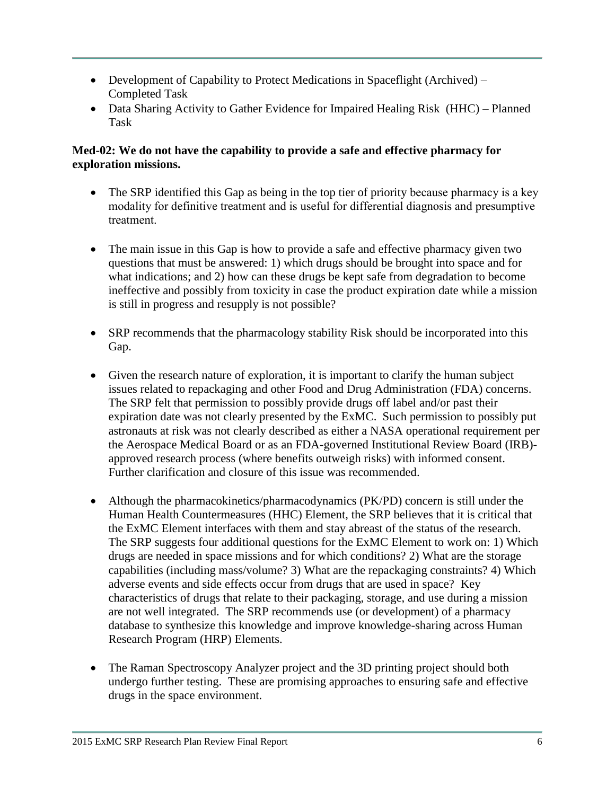- Development of Capability to Protect Medications in Spaceflight (Archived) Completed Task
- Data Sharing Activity to Gather Evidence for Impaired Healing Risk (HHC) Planned Task

## **Med-02: We do not have the capability to provide a safe and effective pharmacy for exploration missions.**

- The SRP identified this Gap as being in the top tier of priority because pharmacy is a key modality for definitive treatment and is useful for differential diagnosis and presumptive treatment.
- The main issue in this Gap is how to provide a safe and effective pharmacy given two questions that must be answered: 1) which drugs should be brought into space and for what indications; and 2) how can these drugs be kept safe from degradation to become ineffective and possibly from toxicity in case the product expiration date while a mission is still in progress and resupply is not possible?
- SRP recommends that the pharmacology stability Risk should be incorporated into this Gap.
- Given the research nature of exploration, it is important to clarify the human subject issues related to repackaging and other Food and Drug Administration (FDA) concerns. The SRP felt that permission to possibly provide drugs off label and/or past their expiration date was not clearly presented by the ExMC. Such permission to possibly put astronauts at risk was not clearly described as either a NASA operational requirement per the Aerospace Medical Board or as an FDA-governed Institutional Review Board (IRB) approved research process (where benefits outweigh risks) with informed consent. Further clarification and closure of this issue was recommended.
- Although the pharmacokinetics/pharmacodynamics (PK/PD) concern is still under the Human Health Countermeasures (HHC) Element, the SRP believes that it is critical that the ExMC Element interfaces with them and stay abreast of the status of the research. The SRP suggests four additional questions for the ExMC Element to work on: 1) Which drugs are needed in space missions and for which conditions? 2) What are the storage capabilities (including mass/volume? 3) What are the repackaging constraints? 4) Which adverse events and side effects occur from drugs that are used in space? Key characteristics of drugs that relate to their packaging, storage, and use during a mission are not well integrated. The SRP recommends use (or development) of a pharmacy database to synthesize this knowledge and improve knowledge-sharing across Human Research Program (HRP) Elements.
- The Raman Spectroscopy Analyzer project and the 3D printing project should both undergo further testing. These are promising approaches to ensuring safe and effective drugs in the space environment.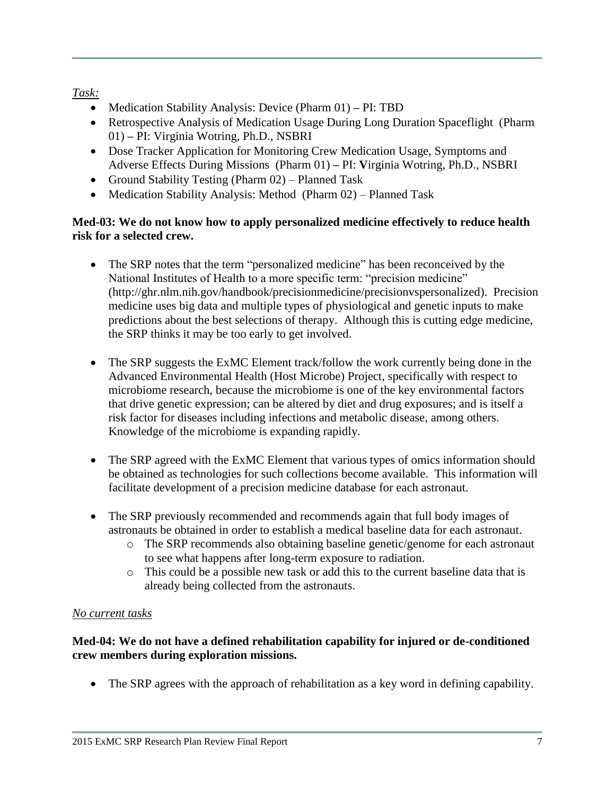## *Task:*

- Medication Stability Analysis: Device (Pharm 01) **–** PI: TBD
- Retrospective Analysis of Medication Usage During Long Duration Spaceflight (Pharm 01) **–** PI: Virginia Wotring, Ph.D., NSBRI
- Dose Tracker Application for Monitoring Crew Medication Usage, Symptoms and Adverse Effects During Missions (Pharm 01) **–** PI: **V**irginia Wotring, Ph.D., NSBRI
- Ground Stability Testing (Pharm  $(02)$  Planned Task
- Medication Stability Analysis: Method (Pharm 02) Planned Task

### **Med-03: We do not know how to apply personalized medicine effectively to reduce health risk for a selected crew.**

- The SRP notes that the term "personalized medicine" has been reconceived by the National Institutes of Health to a more specific term: "precision medicine" (http://ghr.nlm.nih.gov/handbook/precisionmedicine/precisionvspersonalized). Precision medicine uses big data and multiple types of physiological and genetic inputs to make predictions about the best selections of therapy. Although this is cutting edge medicine, the SRP thinks it may be too early to get involved.
- The SRP suggests the ExMC Element track/follow the work currently being done in the Advanced Environmental Health (Host Microbe) Project, specifically with respect to microbiome research, because the microbiome is one of the key environmental factors that drive genetic expression; can be altered by diet and drug exposures; and is itself a risk factor for diseases including infections and metabolic disease, among others. Knowledge of the microbiome is expanding rapidly.
- The SRP agreed with the ExMC Element that various types of omics information should be obtained as technologies for such collections become available. This information will facilitate development of a precision medicine database for each astronaut.
- The SRP previously recommended and recommends again that full body images of astronauts be obtained in order to establish a medical baseline data for each astronaut.
	- o The SRP recommends also obtaining baseline genetic/genome for each astronaut to see what happens after long-term exposure to radiation.
	- o This could be a possible new task or add this to the current baseline data that is already being collected from the astronauts.

## *No current tasks*

## **Med-04: We do not have a defined rehabilitation capability for injured or de-conditioned crew members during exploration missions.**

The SRP agrees with the approach of rehabilitation as a key word in defining capability.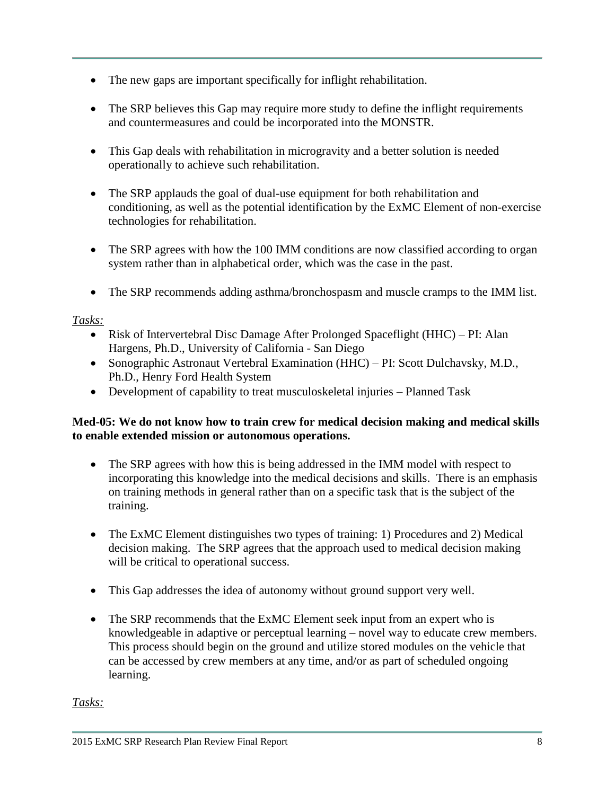- The new gaps are important specifically for inflight rehabilitation.
- The SRP believes this Gap may require more study to define the inflight requirements and countermeasures and could be incorporated into the MONSTR.
- This Gap deals with rehabilitation in microgravity and a better solution is needed operationally to achieve such rehabilitation.
- The SRP applauds the goal of dual-use equipment for both rehabilitation and conditioning, as well as the potential identification by the ExMC Element of non-exercise technologies for rehabilitation.
- The SRP agrees with how the 100 IMM conditions are now classified according to organ system rather than in alphabetical order, which was the case in the past.
- The SRP recommends adding asthma/bronchospasm and muscle cramps to the IMM list.

## *Tasks:*

- Risk of Intervertebral Disc Damage After Prolonged Spaceflight (HHC) PI: Alan Hargens, Ph.D., University of California - San Diego
- Sonographic Astronaut Vertebral Examination (HHC) PI: Scott Dulchavsky, M.D., Ph.D., Henry Ford Health System
- Development of capability to treat musculoskeletal injuries Planned Task

## **Med-05: We do not know how to train crew for medical decision making and medical skills to enable extended mission or autonomous operations.**

- The SRP agrees with how this is being addressed in the IMM model with respect to incorporating this knowledge into the medical decisions and skills. There is an emphasis on training methods in general rather than on a specific task that is the subject of the training.
- The ExMC Element distinguishes two types of training: 1) Procedures and 2) Medical decision making. The SRP agrees that the approach used to medical decision making will be critical to operational success.
- This Gap addresses the idea of autonomy without ground support very well.
- The SRP recommends that the ExMC Element seek input from an expert who is knowledgeable in adaptive or perceptual learning – novel way to educate crew members. This process should begin on the ground and utilize stored modules on the vehicle that can be accessed by crew members at any time, and/or as part of scheduled ongoing learning.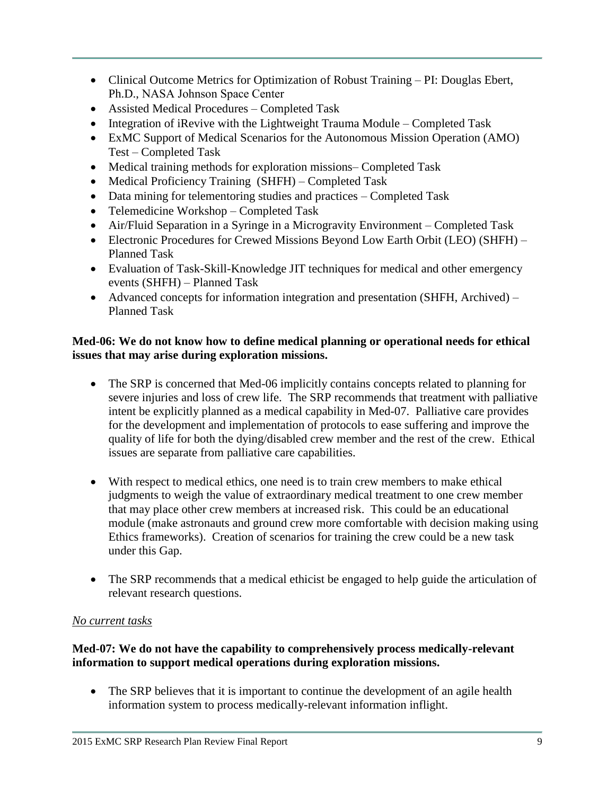- Clinical Outcome Metrics for Optimization of Robust Training PI: Douglas Ebert, Ph.D., NASA Johnson Space Center
- Assisted Medical Procedures Completed Task
- Integration of iRevive with the Lightweight Trauma Module Completed Task
- ExMC Support of Medical Scenarios for the Autonomous Mission Operation (AMO) Test – Completed Task
- Medical training methods for exploration missions– Completed Task
- Medical Proficiency Training (SHFH) Completed Task
- Data mining for telementoring studies and practices Completed Task
- Telemedicine Workshop Completed Task
- Air/Fluid Separation in a Syringe in a Microgravity Environment Completed Task
- Electronic Procedures for Crewed Missions Beyond Low Earth Orbit (LEO) (SHFH) Planned Task
- Evaluation of Task-Skill-Knowledge JIT techniques for medical and other emergency events (SHFH) – Planned Task
- Advanced concepts for information integration and presentation (SHFH, Archived) Planned Task

## **Med-06: We do not know how to define medical planning or operational needs for ethical issues that may arise during exploration missions.**

- The SRP is concerned that Med-06 implicitly contains concepts related to planning for severe injuries and loss of crew life. The SRP recommends that treatment with palliative intent be explicitly planned as a medical capability in Med-07. Palliative care provides for the development and implementation of protocols to ease suffering and improve the quality of life for both the dying/disabled crew member and the rest of the crew. Ethical issues are separate from palliative care capabilities.
- With respect to medical ethics, one need is to train crew members to make ethical judgments to weigh the value of extraordinary medical treatment to one crew member that may place other crew members at increased risk. This could be an educational module (make astronauts and ground crew more comfortable with decision making using Ethics frameworks). Creation of scenarios for training the crew could be a new task under this Gap.
- The SRP recommends that a medical ethicist be engaged to help guide the articulation of relevant research questions.

## *No current tasks*

## **Med-07: We do not have the capability to comprehensively process medically-relevant information to support medical operations during exploration missions.**

• The SRP believes that it is important to continue the development of an agile health information system to process medically-relevant information inflight.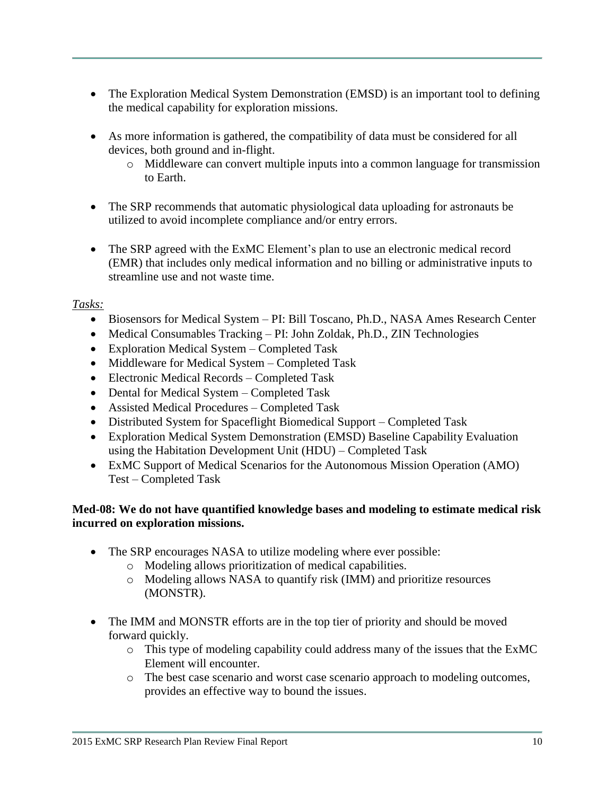- The Exploration Medical System Demonstration (EMSD) is an important tool to defining the medical capability for exploration missions.
- As more information is gathered, the compatibility of data must be considered for all devices, both ground and in-flight.
	- o Middleware can convert multiple inputs into a common language for transmission to Earth.
- The SRP recommends that automatic physiological data uploading for astronauts be utilized to avoid incomplete compliance and/or entry errors.
- The SRP agreed with the ExMC Element's plan to use an electronic medical record (EMR) that includes only medical information and no billing or administrative inputs to streamline use and not waste time.

## *Tasks:*

- Biosensors for Medical System PI: Bill Toscano, Ph.D., NASA Ames Research Center
- Medical Consumables Tracking PI: John Zoldak, Ph.D., ZIN Technologies
- Exploration Medical System Completed Task
- Middleware for Medical System Completed Task
- Electronic Medical Records Completed Task
- Dental for Medical System Completed Task
- Assisted Medical Procedures Completed Task
- Distributed System for Spaceflight Biomedical Support Completed Task
- Exploration Medical System Demonstration (EMSD) Baseline Capability Evaluation using the Habitation Development Unit (HDU) – Completed Task
- ExMC Support of Medical Scenarios for the Autonomous Mission Operation (AMO) Test – Completed Task

### **Med-08: We do not have quantified knowledge bases and modeling to estimate medical risk incurred on exploration missions.**

- The SRP encourages NASA to utilize modeling where ever possible:
	- o Modeling allows prioritization of medical capabilities.
	- o Modeling allows NASA to quantify risk (IMM) and prioritize resources (MONSTR).
- The IMM and MONSTR efforts are in the top tier of priority and should be moved forward quickly.
	- o This type of modeling capability could address many of the issues that the ExMC Element will encounter.
	- o The best case scenario and worst case scenario approach to modeling outcomes, provides an effective way to bound the issues.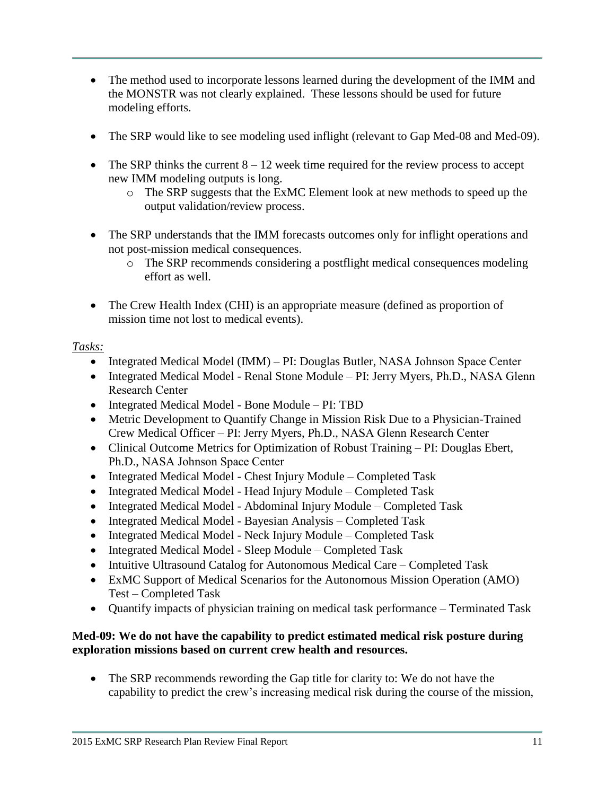- The method used to incorporate lessons learned during the development of the IMM and the MONSTR was not clearly explained. These lessons should be used for future modeling efforts.
- The SRP would like to see modeling used inflight (relevant to Gap Med-08 and Med-09).
- The SRP thinks the current  $8 12$  week time required for the review process to accept new IMM modeling outputs is long.
	- o The SRP suggests that the ExMC Element look at new methods to speed up the output validation/review process.
- The SRP understands that the IMM forecasts outcomes only for inflight operations and not post-mission medical consequences.
	- o The SRP recommends considering a postflight medical consequences modeling effort as well.
- The Crew Health Index (CHI) is an appropriate measure (defined as proportion of mission time not lost to medical events).

## *Tasks:*

- Integrated Medical Model (IMM) PI: Douglas Butler, NASA Johnson Space Center
- Integrated Medical Model Renal Stone Module PI: Jerry Myers, Ph.D., NASA Glenn Research Center
- Integrated Medical Model Bone Module PI: TBD
- Metric Development to Quantify Change in Mission Risk Due to a Physician-Trained Crew Medical Officer – PI: Jerry Myers, Ph.D., NASA Glenn Research Center
- Clinical Outcome Metrics for Optimization of Robust Training PI: Douglas Ebert, Ph.D., NASA Johnson Space Center
- Integrated Medical Model Chest Injury Module Completed Task
- Integrated Medical Model Head Injury Module Completed Task
- Integrated Medical Model Abdominal Injury Module Completed Task
- Integrated Medical Model Bayesian Analysis Completed Task
- Integrated Medical Model Neck Injury Module Completed Task
- Integrated Medical Model Sleep Module Completed Task
- Intuitive Ultrasound Catalog for Autonomous Medical Care Completed Task
- ExMC Support of Medical Scenarios for the Autonomous Mission Operation (AMO) Test – Completed Task
- Ouantify impacts of physician training on medical task performance Terminated Task

## **Med-09: We do not have the capability to predict estimated medical risk posture during exploration missions based on current crew health and resources.**

• The SRP recommends rewording the Gap title for clarity to: We do not have the capability to predict the crew's increasing medical risk during the course of the mission,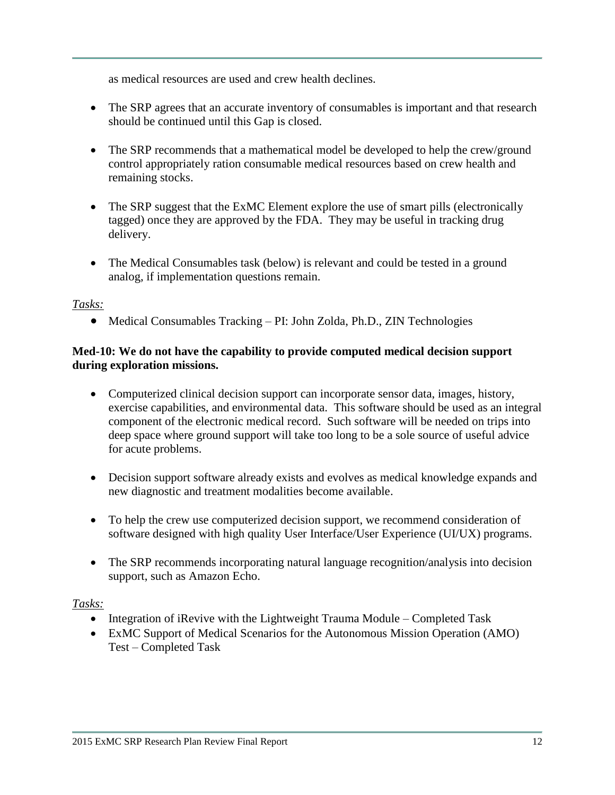as medical resources are used and crew health declines.

- The SRP agrees that an accurate inventory of consumables is important and that research should be continued until this Gap is closed.
- The SRP recommends that a mathematical model be developed to help the crew/ground control appropriately ration consumable medical resources based on crew health and remaining stocks.
- The SRP suggest that the ExMC Element explore the use of smart pills (electronically tagged) once they are approved by the FDA. They may be useful in tracking drug delivery.
- The Medical Consumables task (below) is relevant and could be tested in a ground analog, if implementation questions remain.

### *Tasks:*

Medical Consumables Tracking – PI: John Zolda, Ph.D., ZIN Technologies

#### **Med-10: We do not have the capability to provide computed medical decision support during exploration missions.**

- Computerized clinical decision support can incorporate sensor data, images, history, exercise capabilities, and environmental data. This software should be used as an integral component of the electronic medical record. Such software will be needed on trips into deep space where ground support will take too long to be a sole source of useful advice for acute problems.
- Decision support software already exists and evolves as medical knowledge expands and new diagnostic and treatment modalities become available.
- To help the crew use computerized decision support, we recommend consideration of software designed with high quality User Interface/User Experience (UI/UX) programs.
- The SRP recommends incorporating natural language recognition/analysis into decision support, such as Amazon Echo.

- Integration of iRevive with the Lightweight Trauma Module Completed Task
- ExMC Support of Medical Scenarios for the Autonomous Mission Operation (AMO) Test – Completed Task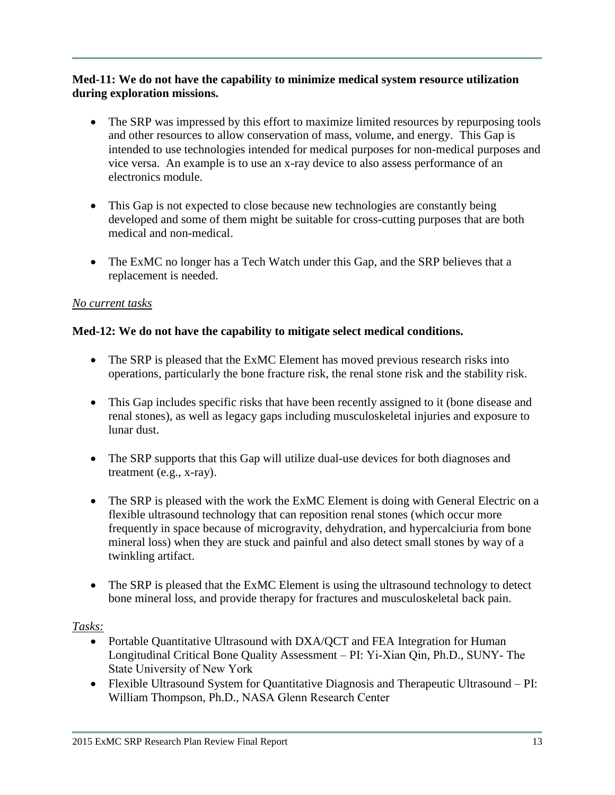### **Med-11: We do not have the capability to minimize medical system resource utilization during exploration missions.**

- The SRP was impressed by this effort to maximize limited resources by repurposing tools and other resources to allow conservation of mass, volume, and energy. This Gap is intended to use technologies intended for medical purposes for non-medical purposes and vice versa. An example is to use an x-ray device to also assess performance of an electronics module.
- This Gap is not expected to close because new technologies are constantly being developed and some of them might be suitable for cross-cutting purposes that are both medical and non-medical.
- The ExMC no longer has a Tech Watch under this Gap, and the SRP believes that a replacement is needed.

## *No current tasks*

## **Med-12: We do not have the capability to mitigate select medical conditions.**

- The SRP is pleased that the ExMC Element has moved previous research risks into operations, particularly the bone fracture risk, the renal stone risk and the stability risk.
- This Gap includes specific risks that have been recently assigned to it (bone disease and renal stones), as well as legacy gaps including musculoskeletal injuries and exposure to lunar dust.
- The SRP supports that this Gap will utilize dual-use devices for both diagnoses and treatment (e.g., x-ray).
- The SRP is pleased with the work the ExMC Element is doing with General Electric on a flexible ultrasound technology that can reposition renal stones (which occur more frequently in space because of microgravity, dehydration, and hypercalciuria from bone mineral loss) when they are stuck and painful and also detect small stones by way of a twinkling artifact.
- The SRP is pleased that the ExMC Element is using the ultrasound technology to detect bone mineral loss, and provide therapy for fractures and musculoskeletal back pain.

- Portable Quantitative Ultrasound with DXA/QCT and FEA Integration for Human Longitudinal Critical Bone Quality Assessment – PI: Yi-Xian Qin, Ph.D., SUNY- The State University of New York
- Flexible Ultrasound System for Quantitative Diagnosis and Therapeutic Ultrasound PI: William Thompson, Ph.D., NASA Glenn Research Center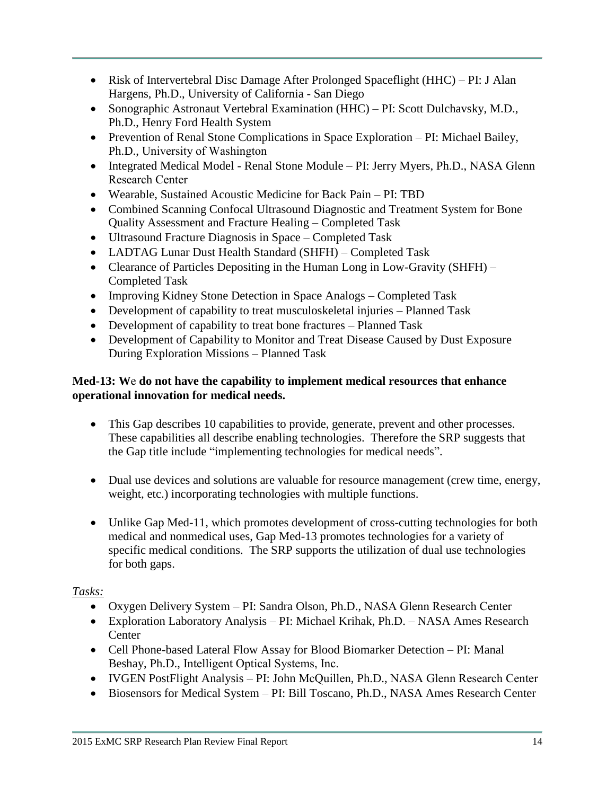- Risk of Intervertebral Disc Damage After Prolonged Spaceflight (HHC) PI: J Alan Hargens, Ph.D., University of California - San Diego
- Sonographic Astronaut Vertebral Examination (HHC) PI: Scott Dulchavsky, M.D., Ph.D., Henry Ford Health System
- Prevention of Renal Stone Complications in Space Exploration PI: Michael Bailey, Ph.D., University of Washington
- Integrated Medical Model Renal Stone Module PI: Jerry Myers, Ph.D., NASA Glenn Research Center
- Wearable, Sustained Acoustic Medicine for Back Pain PI: TBD
- Combined Scanning Confocal Ultrasound Diagnostic and Treatment System for Bone Quality Assessment and Fracture Healing – Completed Task
- Ultrasound Fracture Diagnosis in Space Completed Task
- LADTAG Lunar Dust Health Standard (SHFH) Completed Task
- Clearance of Particles Depositing in the Human Long in Low-Gravity (SHFH) Completed Task
- Improving Kidney Stone Detection in Space Analogs Completed Task
- Development of capability to treat musculoskeletal injuries Planned Task
- Development of capability to treat bone fractures Planned Task
- Development of Capability to Monitor and Treat Disease Caused by Dust Exposure During Exploration Missions – Planned Task

## **Med-13: W**e **do not have the capability to implement medical resources that enhance operational innovation for medical needs.**

- This Gap describes 10 capabilities to provide, generate, prevent and other processes. These capabilities all describe enabling technologies. Therefore the SRP suggests that the Gap title include "implementing technologies for medical needs".
- Dual use devices and solutions are valuable for resource management (crew time, energy, weight, etc.) incorporating technologies with multiple functions.
- Unlike Gap Med-11, which promotes development of cross-cutting technologies for both medical and nonmedical uses, Gap Med-13 promotes technologies for a variety of specific medical conditions. The SRP supports the utilization of dual use technologies for both gaps.

- Oxygen Delivery System PI: Sandra Olson, Ph.D., NASA Glenn Research Center
- Exploration Laboratory Analysis PI: Michael Krihak, Ph.D. NASA Ames Research Center
- Cell Phone-based Lateral Flow Assay for Blood Biomarker Detection PI: Manal Beshay, Ph.D., Intelligent Optical Systems, Inc.
- IVGEN PostFlight Analysis PI: John McQuillen, Ph.D., NASA Glenn Research Center
- Biosensors for Medical System PI: Bill Toscano, Ph.D., NASA Ames Research Center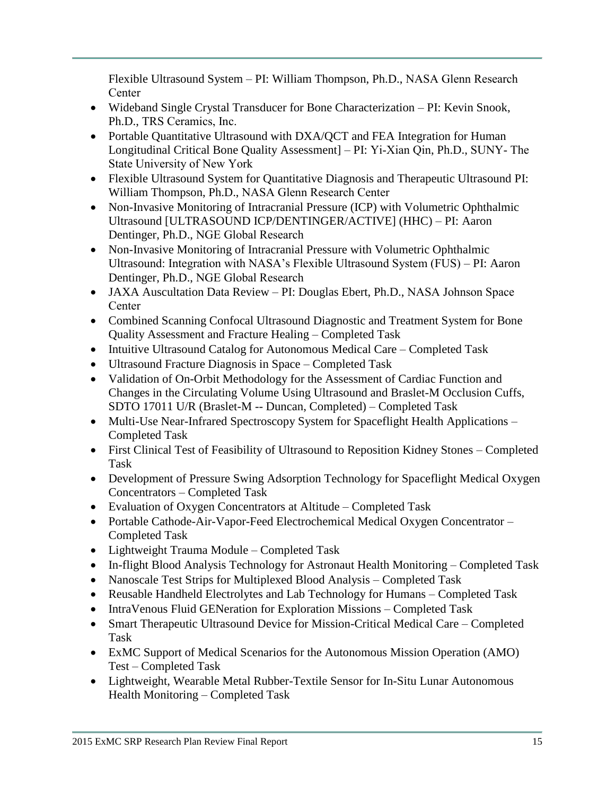Flexible Ultrasound System – PI: William Thompson, Ph.D., NASA Glenn Research **Center** 

- Wideband Single Crystal Transducer for Bone Characterization PI: Kevin Snook, Ph.D., TRS Ceramics, Inc.
- Portable Quantitative Ultrasound with DXA/QCT and FEA Integration for Human Longitudinal Critical Bone Quality Assessment] – PI: Yi-Xian Qin, Ph.D., SUNY- The State University of New York
- Flexible Ultrasound System for Quantitative Diagnosis and Therapeutic Ultrasound PI: William Thompson, Ph.D., NASA Glenn Research Center
- Non-Invasive Monitoring of Intracranial Pressure (ICP) with Volumetric Ophthalmic Ultrasound [ULTRASOUND ICP/DENTINGER/ACTIVE] (HHC) – PI: Aaron Dentinger, Ph.D., NGE Global Research
- Non-Invasive Monitoring of Intracranial Pressure with Volumetric Ophthalmic Ultrasound: Integration with NASA's Flexible Ultrasound System (FUS) – PI: Aaron Dentinger, Ph.D., NGE Global Research
- JAXA Auscultation Data Review PI: Douglas Ebert, Ph.D., NASA Johnson Space Center
- Combined Scanning Confocal Ultrasound Diagnostic and Treatment System for Bone Quality Assessment and Fracture Healing – Completed Task
- Intuitive Ultrasound Catalog for Autonomous Medical Care Completed Task
- Ultrasound Fracture Diagnosis in Space Completed Task
- Validation of On-Orbit Methodology for the Assessment of Cardiac Function and Changes in the Circulating Volume Using Ultrasound and Braslet-M Occlusion Cuffs, SDTO 17011 U/R (Braslet-M -- Duncan, Completed) – Completed Task
- Multi-Use Near-Infrared Spectroscopy System for Spaceflight Health Applications Completed Task
- First Clinical Test of Feasibility of Ultrasound to Reposition Kidney Stones Completed Task
- Development of Pressure Swing Adsorption Technology for Spaceflight Medical Oxygen Concentrators – Completed Task
- Evaluation of Oxygen Concentrators at Altitude Completed Task
- Portable Cathode-Air-Vapor-Feed Electrochemical Medical Oxygen Concentrator Completed Task
- Lightweight Trauma Module Completed Task
- In-flight Blood Analysis Technology for Astronaut Health Monitoring Completed Task
- Nanoscale Test Strips for Multiplexed Blood Analysis Completed Task
- Reusable Handheld Electrolytes and Lab Technology for Humans Completed Task
- IntraVenous Fluid GENeration for Exploration Missions Completed Task
- Smart Therapeutic Ultrasound Device for Mission-Critical Medical Care Completed Task
- ExMC Support of Medical Scenarios for the Autonomous Mission Operation (AMO) Test – Completed Task
- Lightweight, Wearable Metal Rubber-Textile Sensor for In-Situ Lunar Autonomous Health Monitoring – Completed Task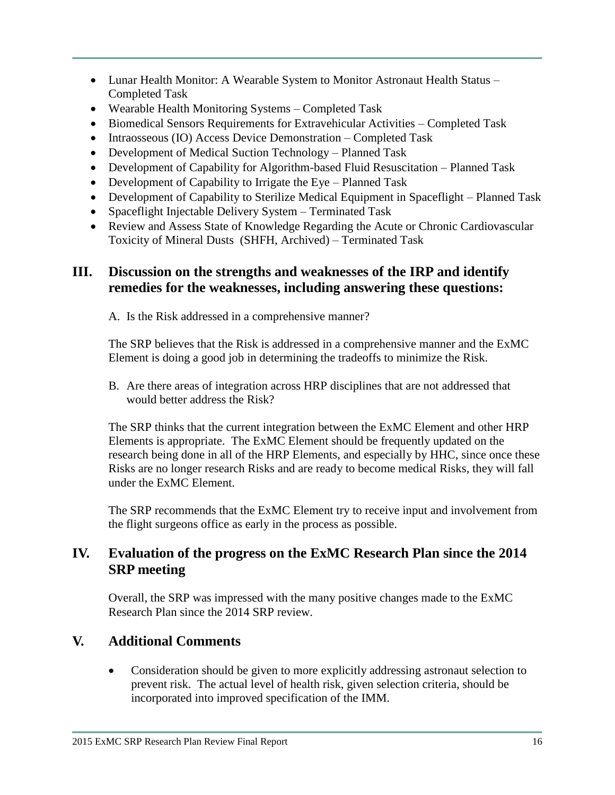- Lunar Health Monitor: A Wearable System to Monitor Astronaut Health Status Completed Task
- Wearable Health Monitoring Systems Completed Task
- Biomedical Sensors Requirements for Extravehicular Activities Completed Task
- Intraosseous (IO) Access Device Demonstration Completed Task
- Development of Medical Suction Technology Planned Task
- Development of Capability for Algorithm-based Fluid Resuscitation Planned Task
- Development of Capability to Irrigate the Eye Planned Task
- Development of Capability to Sterilize Medical Equipment in Spaceflight Planned Task
- Spaceflight Injectable Delivery System Terminated Task
- Review and Assess State of Knowledge Regarding the Acute or Chronic Cardiovascular Toxicity of Mineral Dusts (SHFH, Archived) – Terminated Task

# **III. Discussion on the strengths and weaknesses of the IRP and identify remedies for the weaknesses, including answering these questions:**

A. Is the Risk addressed in a comprehensive manner?

The SRP believes that the Risk is addressed in a comprehensive manner and the ExMC Element is doing a good job in determining the tradeoffs to minimize the Risk.

B. Are there areas of integration across HRP disciplines that are not addressed that would better address the Risk?

The SRP thinks that the current integration between the ExMC Element and other HRP Elements is appropriate. The ExMC Element should be frequently updated on the research being done in all of the HRP Elements, and especially by HHC, since once these Risks are no longer research Risks and are ready to become medical Risks, they will fall under the ExMC Element.

The SRP recommends that the ExMC Element try to receive input and involvement from the flight surgeons office as early in the process as possible.

# **IV. Evaluation of the progress on the ExMC Research Plan since the 2014 SRP meeting**

Overall, the SRP was impressed with the many positive changes made to the ExMC Research Plan since the 2014 SRP review.

# **V. Additional Comments**

 Consideration should be given to more explicitly addressing astronaut selection to prevent risk. The actual level of health risk, given selection criteria, should be incorporated into improved specification of the IMM.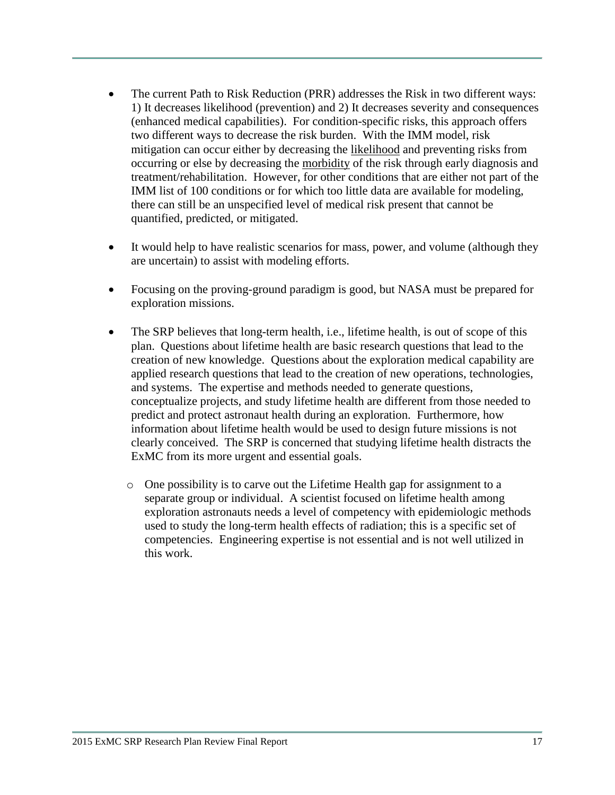- The current Path to Risk Reduction (PRR) addresses the Risk in two different ways: 1) It decreases likelihood (prevention) and 2) It decreases severity and consequences (enhanced medical capabilities). For condition-specific risks, this approach offers two different ways to decrease the risk burden. With the IMM model, risk mitigation can occur either by decreasing the likelihood and preventing risks from occurring or else by decreasing the morbidity of the risk through early diagnosis and treatment/rehabilitation. However, for other conditions that are either not part of the IMM list of 100 conditions or for which too little data are available for modeling, there can still be an unspecified level of medical risk present that cannot be quantified, predicted, or mitigated.
- It would help to have realistic scenarios for mass, power, and volume (although they are uncertain) to assist with modeling efforts.
- Focusing on the proving-ground paradigm is good, but NASA must be prepared for exploration missions.
- The SRP believes that long-term health, i.e., lifetime health, is out of scope of this plan. Questions about lifetime health are basic research questions that lead to the creation of new knowledge. Questions about the exploration medical capability are applied research questions that lead to the creation of new operations, technologies, and systems. The expertise and methods needed to generate questions, conceptualize projects, and study lifetime health are different from those needed to predict and protect astronaut health during an exploration. Furthermore, how information about lifetime health would be used to design future missions is not clearly conceived. The SRP is concerned that studying lifetime health distracts the ExMC from its more urgent and essential goals.
	- o One possibility is to carve out the Lifetime Health gap for assignment to a separate group or individual. A scientist focused on lifetime health among exploration astronauts needs a level of competency with epidemiologic methods used to study the long-term health effects of radiation; this is a specific set of competencies. Engineering expertise is not essential and is not well utilized in this work.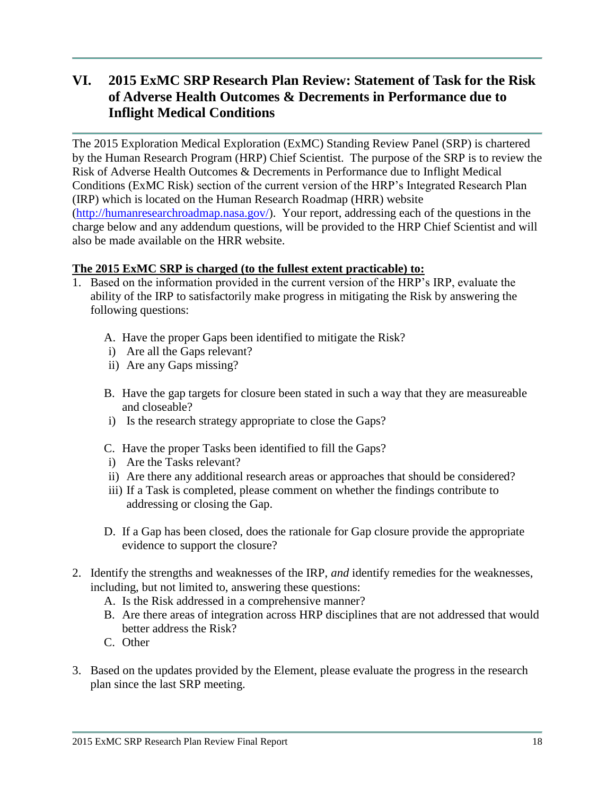# **VI. 2015 ExMC SRP Research Plan Review: Statement of Task for the Risk of Adverse Health Outcomes & Decrements in Performance due to Inflight Medical Conditions**

The 2015 Exploration Medical Exploration (ExMC) Standing Review Panel (SRP) is chartered by the Human Research Program (HRP) Chief Scientist. The purpose of the SRP is to review the Risk of Adverse Health Outcomes & Decrements in Performance due to Inflight Medical Conditions (ExMC Risk) section of the current version of the HRP's Integrated Research Plan (IRP) which is located on the Human Research Roadmap (HRR) website [\(http://humanresearchroadmap.nasa.gov/\)](http://humanresearchroadmap.nasa.gov/). Your report, addressing each of the questions in the charge below and any addendum questions, will be provided to the HRP Chief Scientist and will also be made available on the HRR website.

## **The 2015 ExMC SRP is charged (to the fullest extent practicable) to:**

- 1. Based on the information provided in the current version of the HRP's IRP, evaluate the ability of the IRP to satisfactorily make progress in mitigating the Risk by answering the following questions:
	- A. Have the proper Gaps been identified to mitigate the Risk?
	- i) Are all the Gaps relevant?
	- ii) Are any Gaps missing?
	- B. Have the gap targets for closure been stated in such a way that they are measureable and closeable?
	- i) Is the research strategy appropriate to close the Gaps?
	- C. Have the proper Tasks been identified to fill the Gaps?
	- i) Are the Tasks relevant?
	- ii) Are there any additional research areas or approaches that should be considered?
	- iii) If a Task is completed, please comment on whether the findings contribute to addressing or closing the Gap.
	- D. If a Gap has been closed, does the rationale for Gap closure provide the appropriate evidence to support the closure?
- 2. Identify the strengths and weaknesses of the IRP, *and* identify remedies for the weaknesses, including, but not limited to, answering these questions:
	- A. Is the Risk addressed in a comprehensive manner?
	- B. Are there areas of integration across HRP disciplines that are not addressed that would better address the Risk?
	- C. Other
- 3. Based on the updates provided by the Element, please evaluate the progress in the research plan since the last SRP meeting.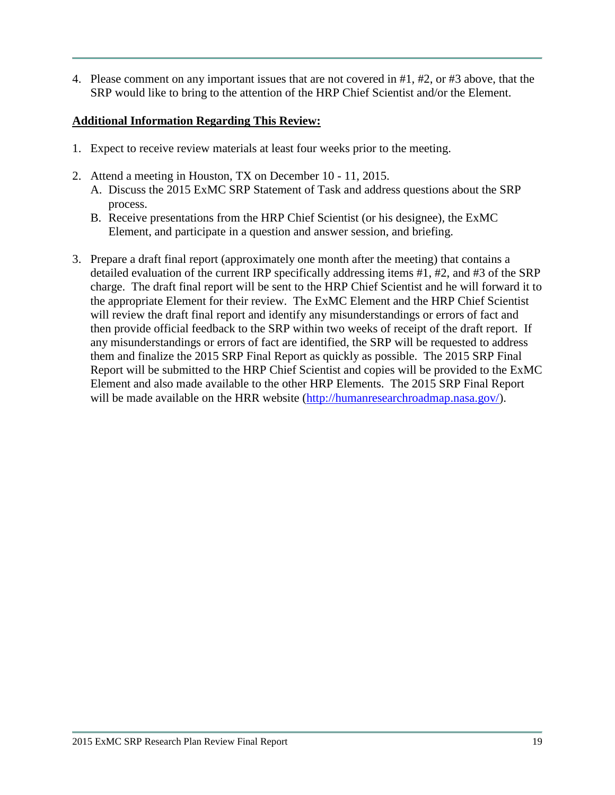4. Please comment on any important issues that are not covered in #1, #2, or #3 above, that the SRP would like to bring to the attention of the HRP Chief Scientist and/or the Element.

## **Additional Information Regarding This Review:**

- 1. Expect to receive review materials at least four weeks prior to the meeting.
- 2. Attend a meeting in Houston, TX on December 10 11, 2015.
	- A. Discuss the 2015 ExMC SRP Statement of Task and address questions about the SRP process.
	- B. Receive presentations from the HRP Chief Scientist (or his designee), the ExMC Element, and participate in a question and answer session, and briefing.
- 3. Prepare a draft final report (approximately one month after the meeting) that contains a detailed evaluation of the current IRP specifically addressing items #1, #2, and #3 of the SRP charge. The draft final report will be sent to the HRP Chief Scientist and he will forward it to the appropriate Element for their review. The ExMC Element and the HRP Chief Scientist will review the draft final report and identify any misunderstandings or errors of fact and then provide official feedback to the SRP within two weeks of receipt of the draft report. If any misunderstandings or errors of fact are identified, the SRP will be requested to address them and finalize the 2015 SRP Final Report as quickly as possible. The 2015 SRP Final Report will be submitted to the HRP Chief Scientist and copies will be provided to the ExMC Element and also made available to the other HRP Elements. The 2015 SRP Final Report will be made available on the HRR website [\(http://humanresearchroadmap.nasa.gov/\)](http://humanresearchroadmap.nasa.gov/).